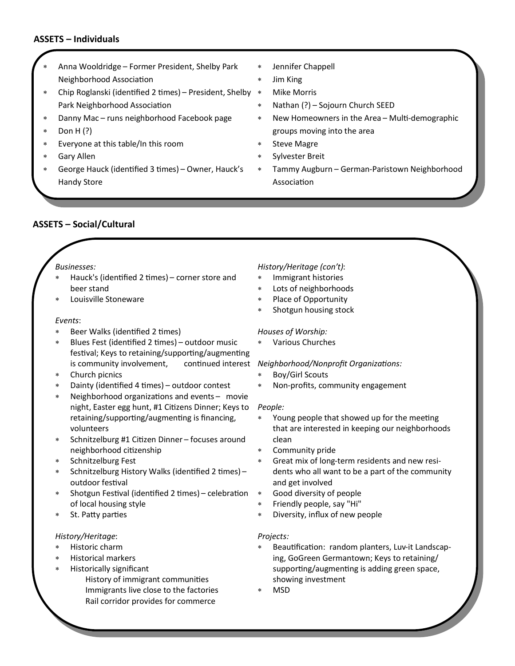# **ASSETS – Individuals**

- Anna Wooldridge Former President, Shelby Park Neighborhood Association
- Chip Roglanski (identified 2 times) President, Shelby Park Neighborhood Association
- Danny Mac runs neighborhood Facebook page
- Don H (?)
- Everyone at this table/In this room
- Gary Allen
- George Hauck (identified 3 times) Owner, Hauck's Handy Store
- Jennifer Chappell
- Jim King
- Mike Morris
- Nathan (?) Sojourn Church SEED
- New Homeowners in the Area Multi-demographic groups moving into the area
- \* Steve Magre
- Sylvester Breit
- Tammy Augburn German-Paristown Neighborhood Association

# **ASSETS – Social/Cultural**

#### *Businesses:*

- Hauck's (identified 2 times) corner store and beer stand
- Louisville Stoneware

#### *Events*:

- Beer Walks (identified 2 times)
- Blues Fest (identified 2 times) outdoor music festival; Keys to retaining/supporting/augmenting is community involvement,
- Church picnics
- Dainty (identified 4 times) outdoor contest
- Neighborhood organizations and events movie night, Easter egg hunt, #1 Citizens Dinner; Keys to retaining/supporting/augmenting is financing, volunteers
- Schnitzelburg #1 Citizen Dinner focuses around neighborhood citizenship
- Schnitzelburg Fest
- Schnitzelburg History Walks (identified 2 times) outdoor festival
- Shotgun Festival (identified 2 times) celebration of local housing style
- St. Patty parties

## *History/Heritage*:

- Historic charm
- Historical markers
	- Historically significant History of immigrant communities Immigrants live close to the factories Rail corridor provides for commerce

#### *History/Heritage (con't)*:

- Immigrant histories
- Lots of neighborhoods
- Place of Opportunity
- Shotgun housing stock

#### *Houses of Worship:*

Various Churches

#### *Neighborhood/Nonprofit Organizations:*

- Boy/Girl Scouts
- Non-profits, community engagement

#### *People:*

- Young people that showed up for the meeting that are interested in keeping our neighborhoods clean
- Community pride
- Great mix of long-term residents and new residents who all want to be a part of the community and get involved
- Good diversity of people
- Friendly people, say "Hi"
- Diversity, influx of new people

#### *Projects:*

- Beautification: random planters, Luv-it Landscaping, GoGreen Germantown; Keys to retaining/ supporting/augmenting is adding green space, showing investment
- MSD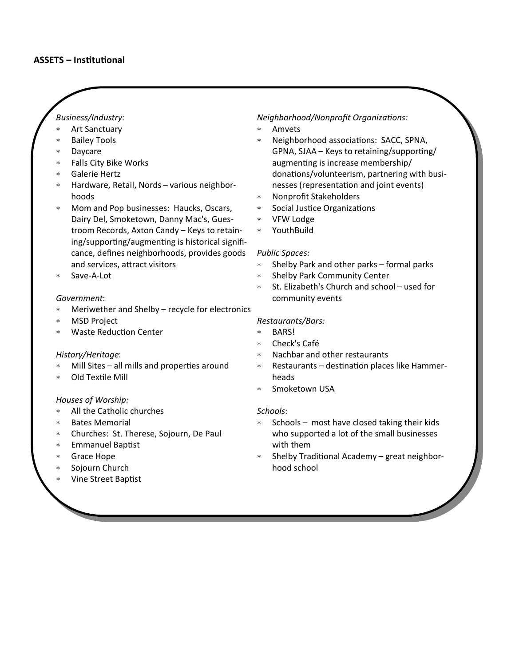# *Business/Industry:*

- Art Sanctuary
- Bailey Tools
- Daycare
- Falls City Bike Works
- Galerie Hertz
- Hardware, Retail, Nords various neighborhoods
- Mom and Pop businesses: Haucks, Oscars, Dairy Del, Smoketown, Danny Mac's, Guestroom Records, Axton Candy – Keys to retaining/supporting/augmenting is historical significance, defines neighborhoods, provides goods and services, attract visitors
- Save-A-Lot

## *Government*:

- Meriwether and Shelby recycle for electronics
- MSD Project
- Waste Reduction Center

## *History/Heritage*:

- Mill Sites all mills and properties around
- Old Textile Mill

## *Houses of Worship:*

- All the Catholic churches
- Bates Memorial
- Churches: St. Therese, Sojourn, De Paul
- Emmanuel Baptist
- Grace Hope
- Sojourn Church
- Vine Street Baptist

## *Neighborhood/Nonprofit Organizations:*

- Amvets
- Neighborhood associations: SACC, SPNA, GPNA, SJAA – Keys to retaining/supporting/ augmenting is increase membership/ donations/volunteerism, partnering with businesses (representation and joint events)
- Nonprofit Stakeholders
- Social Justice Organizations
- VFW Lodge
- YouthBuild

## *Public Spaces:*

- Shelby Park and other parks formal parks
- Shelby Park Community Center
- St. Elizabeth's Church and school used for community events

## *Restaurants/Bars:*

- BARS!
- Check's Café
- Nachbar and other restaurants
- Restaurants destination places like Hammerheads
- Smoketown USA

## *Schools*:

- Schools most have closed taking their kids who supported a lot of the small businesses with them
- Shelby Traditional Academy great neighborhood school